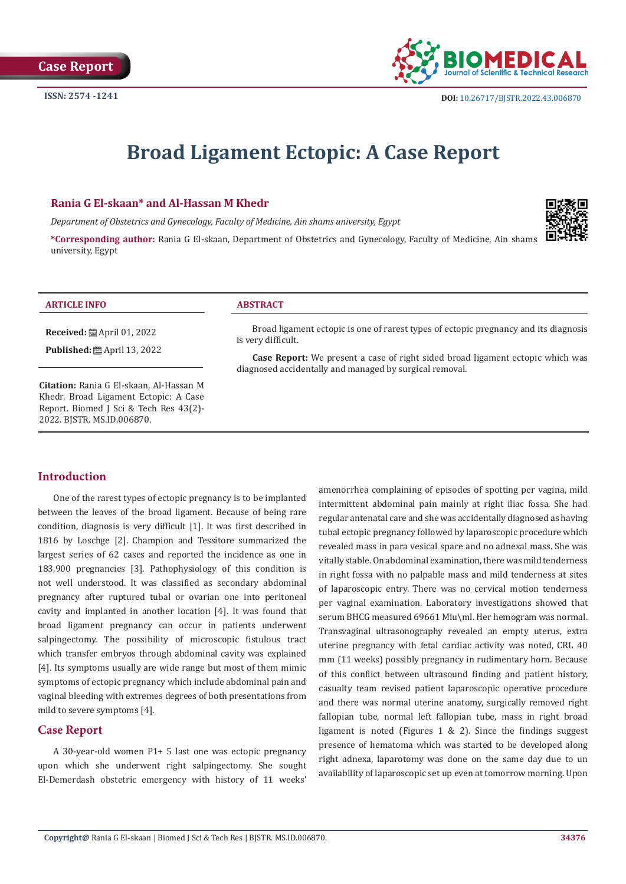

# **Broad Ligament Ectopic: A Case Report**

#### **Rania G El-skaan\* and Al-Hassan M Khedr**

*Department of Obstetrics and Gynecology, Faculty of Medicine, Ain shams university, Egypt*

**\*Corresponding author:** Rania G El-skaan, Department of Obstetrics and Gynecology, Faculty of Medicine, Ain shams university, Egypt



# **ARTICLE INFO ABSTRACT**

**Received:** April 01, 2022

**Published:** ■ April 13, 2022

**Citation:** Rania G El-skaan, Al-Hassan M Khedr. Broad Ligament Ectopic: A Case Report. Biomed J Sci & Tech Res 43(2)- 2022. BJSTR. MS.ID.006870.

Broad ligament ectopic is one of rarest types of ectopic pregnancy and its diagnosis is very difficult.

**Case Report:** We present a case of right sided broad ligament ectopic which was diagnosed accidentally and managed by surgical removal.

### **Introduction**

One of the rarest types of ectopic pregnancy is to be implanted between the leaves of the broad ligament. Because of being rare condition, diagnosis is very difficult [1]. It was first described in 1816 by Loschge [2]. Champion and Tessitore summarized the largest series of 62 cases and reported the incidence as one in 183,900 pregnancies [3]. Pathophysiology of this condition is not well understood. It was classified as secondary abdominal pregnancy after ruptured tubal or ovarian one into peritoneal cavity and implanted in another location [4]. It was found that broad ligament pregnancy can occur in patients underwent salpingectomy. The possibility of microscopic fistulous tract which transfer embryos through abdominal cavity was explained [4]. Its symptoms usually are wide range but most of them mimic symptoms of ectopic pregnancy which include abdominal pain and vaginal bleeding with extremes degrees of both presentations from mild to severe symptoms [4].

### **Case Report**

A 30-year-old women P1+ 5 last one was ectopic pregnancy upon which she underwent right salpingectomy. She sought El-Demerdash obstetric emergency with history of 11 weeks'

amenorrhea complaining of episodes of spotting per vagina, mild intermittent abdominal pain mainly at right iliac fossa. She had regular antenatal care and she was accidentally diagnosed as having tubal ectopic pregnancy followed by laparoscopic procedure which revealed mass in para vesical space and no adnexal mass. She was vitally stable. On abdominal examination, there was mild tenderness in right fossa with no palpable mass and mild tenderness at sites of laparoscopic entry. There was no cervical motion tenderness per vaginal examination. Laboratory investigations showed that serum BHCG measured 69661 Miu\ml. Her hemogram was normal. Transvaginal ultrasonography revealed an empty uterus, extra uterine pregnancy with fetal cardiac activity was noted, CRL 40 mm (11 weeks) possibly pregnancy in rudimentary horn. Because of this conflict between ultrasound finding and patient history, casualty team revised patient laparoscopic operative procedure and there was normal uterine anatomy, surgically removed right fallopian tube, normal left fallopian tube, mass in right broad ligament is noted (Figures 1 & 2). Since the findings suggest presence of hematoma which was started to be developed along right adnexa, laparotomy was done on the same day due to un availability of laparoscopic set up even at tomorrow morning. Upon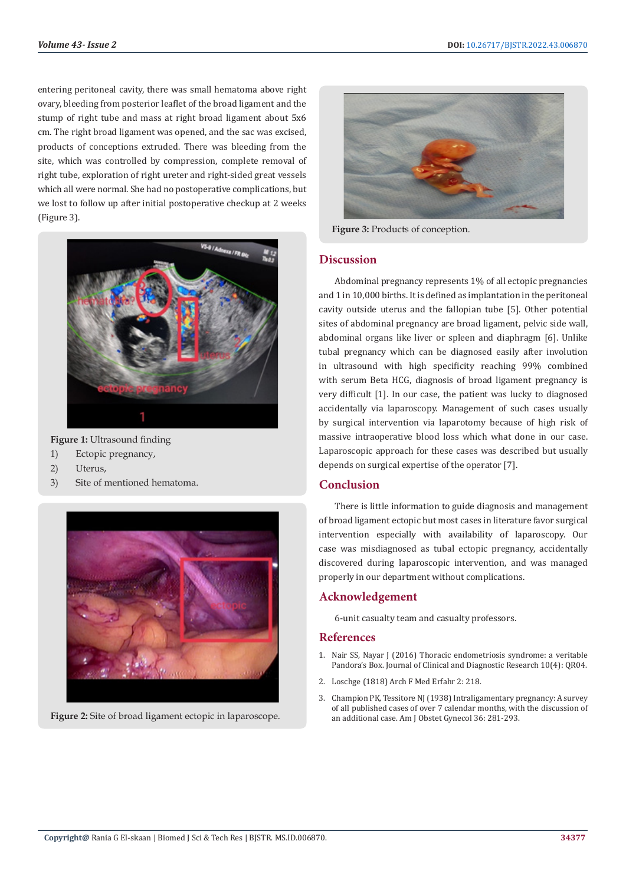entering peritoneal cavity, there was small hematoma above right ovary, bleeding from posterior leaflet of the broad ligament and the stump of right tube and mass at right broad ligament about 5x6 cm. The right broad ligament was opened, and the sac was excised, products of conceptions extruded. There was bleeding from the site, which was controlled by compression, complete removal of right tube, exploration of right ureter and right-sided great vessels which all were normal. She had no postoperative complications, but we lost to follow up after initial postoperative checkup at 2 weeks (Figure 3).



### **Figure 1:** Ultrasound finding

- 1) Ectopic pregnancy,
- 2) Uterus,
- 3) Site of mentioned hematoma.



**Figure 2:** Site of broad ligament ectopic in laparoscope.



**Figure 3:** Products of conception.

## **Discussion**

Abdominal pregnancy represents 1% of all ectopic pregnancies and 1 in 10,000 births. It is defined as implantation in the peritoneal cavity outside uterus and the fallopian tube [5]. Other potential sites of abdominal pregnancy are broad ligament, pelvic side wall, abdominal organs like liver or spleen and diaphragm [6]. Unlike tubal pregnancy which can be diagnosed easily after involution in ultrasound with high specificity reaching 99% combined with serum Beta HCG, diagnosis of broad ligament pregnancy is very difficult [1]. In our case, the patient was lucky to diagnosed accidentally via laparoscopy. Management of such cases usually by surgical intervention via laparotomy because of high risk of massive intraoperative blood loss which what done in our case. Laparoscopic approach for these cases was described but usually depends on surgical expertise of the operator [7].

#### **Conclusion**

There is little information to guide diagnosis and management of broad ligament ectopic but most cases in literature favor surgical intervention especially with availability of laparoscopy. Our case was misdiagnosed as tubal ectopic pregnancy, accidentally discovered during laparoscopic intervention, and was managed properly in our department without complications.

# **Acknowledgement**

6-unit casualty team and casualty professors.

# **References**

- 1. [Nair SS, Nayar J \(2016\) Thoracic endometriosis syndrome: a veritable](https://pubmed.ncbi.nlm.nih.gov/27190904/) [Pandora's Box. Journal of Clinical and Diagnostic Research 10\(4\): QR04.](https://pubmed.ncbi.nlm.nih.gov/27190904/)
- 2. Loschge (1818) Arch F Med Erfahr 2: 218.
- 3. Champion PK, Tessitore NJ (1938) Intraligamentary pregnancy: A survey of all published cases of over 7 calendar months, with the discussion of an additional case. Am J Obstet Gynecol 36: 281-293.